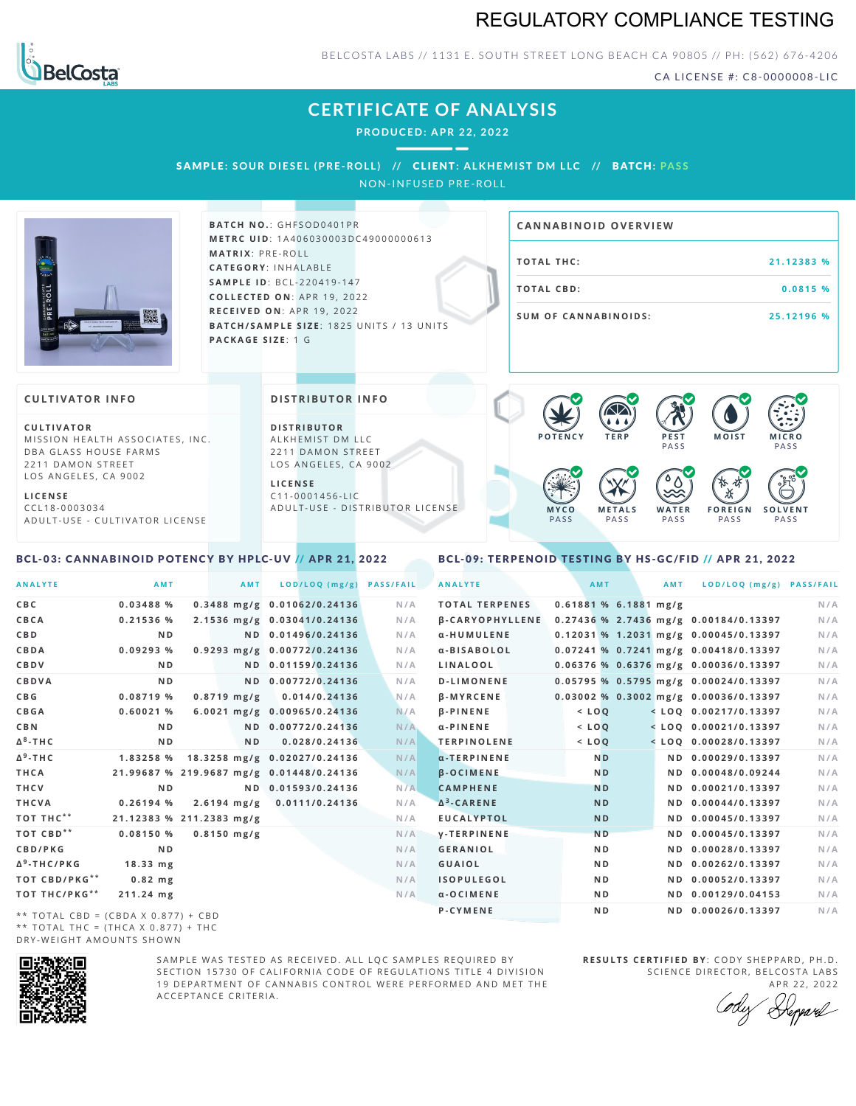## REGULATORY COMPLIANCE TESTING



BELCOSTA LABS // 1131 E. SOUTH STREET LONG BEACH CA 90805 // PH: (562) 676-4206

CA LICENSE #: C8-0000008-LIC

## **CERTIFICATE OF ANALYSIS**

**PRODUCED: A PR 22, 2022**

SAMPLE: SOUR DIESEL (PRE-ROLL) // CLIENT: ALKHEMIST DM LLC // BATCH: PASS

NON-INFUSED PRE-ROLL



**BATCH NO.: GHFSOD0401PR M E T R C U ID** :1 A 4 0 6 0 3 0 0 0 3 D C 4 9 0 0 0 0 0 0 6 1 3 **M AT R I X** :P R E - R O L L **CAT E G O R Y** : I N H A L A B L E **SA M P L E I D** :B C L - 2 2 0 4 1 9 - 1 4 7 **C O L L E C T E D O N** :A P R 1 9 ,2 0 2 2 **R E C E I V E D O N** : A P R 1 9 , 2 0 2 2 **BATCH/SAMPLE SIZE: 1825 UNITS / 13 UNITS PAC KA G E S I Z E** : 1 G

# **T O TAL T H C :2 1 . 1 2 3 8 3 % T O TAL CB D :0 . 0 8 1 5 % S U M O F CA N N ABI N O I D S : 2 5 . 1 2 1 9 6 % CA N N ABI N OID OVERVI EW**

#### **CULTIVATOR I N FO**

**C U L T I VAT O R** MISSION HEALTH ASSOCIATES, INC. DBA GLASS HOUSE FARMS 2211 DAMON STREET LOS ANGELES, CA 9002

**L I C E N S E** C C L 1 8 - 0 0 0 3 0 3 4 A D U L T - U S E - C U L T I V A T O R L I C E N S E

#### <span id="page-0-0"></span>BCL-03: CANNABINOID POTENCY BY HPLC-UV // APR 21, 2022

#### **DI STRIBUTOR I N FO**

**D I S T R IB U T O R** ALKHEMIST DM LLC 2211 DAMON STREET LOS ANGELES, CA 9002

**L I C E N S E**  $C$  1 1 - 0 0 0 1 4 5 6 - L I C A D U L T - U S E - D I STRI B U T O R LICENSE



<span id="page-0-1"></span>BCL-09: TERPENOID TESTING BY HS-GC/FID // APR 21, 2022

| <b>ANALYTE</b>                      | <b>AMT</b>                               | AMT              | LOD/LOQ (mg/g)               | <b>PASS/FAIL</b> | <b>ANALYTE</b>         | AMT       |                         | <b>AMT</b> | LOD/LOQ (mg/g) PASS/FAIL                |     |
|-------------------------------------|------------------------------------------|------------------|------------------------------|------------------|------------------------|-----------|-------------------------|------------|-----------------------------------------|-----|
| C B C                               | 0.03488%                                 |                  | 0.3488 mg/g 0.01062/0.24136  | N/A              | <b>TOTAL TERPENES</b>  |           | $0.61881$ % 6.1881 mg/g |            |                                         | N/A |
| CBCA                                | 0.21536%                                 |                  | 2.1536 mg/g 0.03041/0.24136  | N/A              | <b>B-CARYOPHYLLENE</b> |           |                         |            | 0.27436 % 2.7436 mg/g 0.00184/0.13397   | N/A |
| C B D                               | N <sub>D</sub>                           |                  | ND 0.01496/0.24136           | N/A              | α-HUMULENE             |           |                         |            | $0.12031$ % 1.2031 mg/g 0.00045/0.13397 | N/A |
| CBDA                                | 0.09293%                                 |                  | 0.9293 mg/g 0.00772/0.24136  | N/A              | α-BISABOLOL            |           |                         |            | 0.07241 % 0.7241 mg/g 0.00418/0.13397   | N/A |
| CBDV                                | N <sub>D</sub>                           |                  | ND 0.01159/0.24136           | N/A              | LINALOOL               |           |                         |            | $0.06376$ % 0.6376 mg/g 0.00036/0.13397 | N/A |
| CBDVA                               | N <sub>D</sub>                           |                  | ND 0.00772/0.24136           | N/A              | <b>D-LIMONENE</b>      |           |                         |            | $0.05795$ % 0.5795 mg/g 0.00024/0.13397 | N/A |
| C B G                               | 0.08719%                                 | $0.8719$ mg/g    | 0.014/0.24136                | N/A              | <b>B-MYRCENE</b>       |           |                         |            | $0.03002$ % 0.3002 mg/g 0.00036/0.13397 | N/A |
| CBGA                                | 0.60021%                                 |                  | 6.0021 mg/g 0.00965/0.24136  | N/A              | <b>B-PINENE</b>        | $<$ $LOO$ |                         |            | $<$ LOQ 0.00217/0.13397                 | N/A |
| C B N                               | N <sub>D</sub>                           |                  | ND 0.00772/0.24136           | N/A              | $\alpha$ -PINENE       | $<$ LOQ   |                         |            | $<$ LOQ 0.00021/0.13397                 | N/A |
| Δ <sup>8</sup> -ΤΗ C                | N <sub>D</sub>                           | ND.              | 0.028/0.24136                | N/A              | <b>TERPINOLENE</b>     | $<$ $LOQ$ |                         |            | $<$ LOQ 0.00028/0.13397                 | N/A |
| Δ <sup>9</sup> -ΤΗ C                | 1.83258 %                                |                  | 18.3258 mg/g 0.02027/0.24136 | N/A              | $\alpha$ -TERPINENE    |           | N <sub>D</sub>          |            | ND 0.00029/0.13397                      | N/A |
| THCA                                | 21.99687 % 219.9687 mg/g 0.01448/0.24136 |                  |                              | N/A              | <b>B-OCIMENE</b>       |           | <b>ND</b>               |            | ND 0.00048/0.09244                      | N/A |
| THCV                                | N <sub>D</sub>                           |                  | ND 0.01593/0.24136           | N/A              | <b>CAMPHENE</b>        | <b>ND</b> |                         |            | ND 0.00021/0.13397                      | N/A |
| THCVA                               | 0.26194%                                 | $2.6194 \; mg/g$ | 0.0111/0.24136               | N/A              | $\Delta^3$ -CARENE     |           | <b>ND</b>               |            | ND 0.00044/0.13397                      | N/A |
| тот тнс**                           | 21.12383 % 211.2383 mg/g                 |                  |                              | N/A              | <b>EUCALYPTOL</b>      |           | <b>ND</b>               |            | ND 0.00045/0.13397                      | N/A |
| ТОТ СВD**                           | 0.08150%                                 | $0.8150$ mg/g    |                              | N/A              | <b>V-TERPINENE</b>     |           | N <sub>D</sub>          |            | ND 0.00045/0.13397                      | N/A |
| CBD/PKG                             | N <sub>D</sub>                           |                  |                              | N/A              | <b>GERANIOL</b>        |           | ND.                     |            | ND 0.00028/0.13397                      | N/A |
| Δ <sup>9</sup> -THC/PKG             | $18.33 \, \text{mg}$                     |                  |                              | N/A              | <b>GUAIOL</b>          |           | ND.                     |            | ND 0.00262/0.13397                      | N/A |
| <b>TOT CBD/PKG**</b>                | $0.82$ mg                                |                  |                              | N/A              | <b>ISOPULEGOL</b>      |           | ND.                     |            | ND 0.00052/0.13397                      | N/A |
| ТОТ ТНС/РКG**                       | 211.24 mg                                |                  |                              | N/A              | $\alpha$ -OCIMENE      |           | ND.                     |            | ND 0.00129/0.04153                      | N/A |
| ** TOTAL CBD = (CBDA X 0.877) + CBD |                                          |                  |                              |                  | P-CYMENE               |           | N <sub>D</sub>          |            | ND 0.00026/0.13397                      | N/A |
|                                     |                                          |                  |                              |                  |                        |           |                         |            |                                         |     |

\*\* TOTAL CBD = (CBDA X 0.877) + CBD \*\* TOTAL THC =  $(THCA X 0.877) + THC$ DRY-WEIGHT AMOUNTS SHOWN



SAMPLE WAS TESTED AS RECEIVED. ALL LOC SAMPLES REQUIRED BY SECTION 15730 OF CALIFORNIA CODE OF REGULATIONS TITLE 4 DIVISION 19 DEPARTMENT OF CANNABIS CONTROL WERE PERFORMED AND MET THE A C C E P T A N C E C R I T E R I A .

**R E S U L T S C E R T I F I E D BY** : C O D Y S H E P P A R D ,P H .D . SCIENCE DIRECTOR, BELCOSTA LABS

A P R 22, 2022 Heppard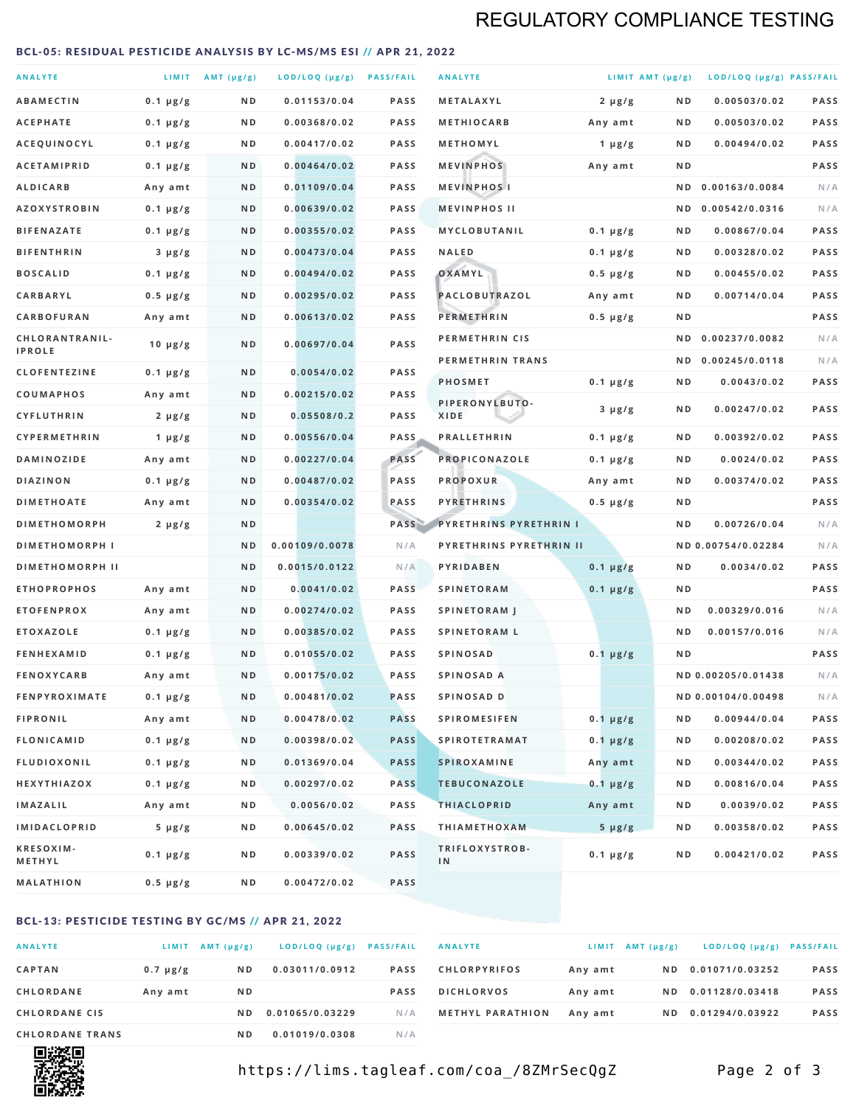## REGULATORY COMPLIANCE TESTING

#### <span id="page-1-0"></span>BCL-05: RESIDUAL PESTICIDE ANALYSIS BY LC-MS/MS ESI // APR 21, 2022

| <b>ANALYTE</b>                  |                  | LIMIT $AMT(\mu g/g)$ | LOD/LOQ (µg/g) PASS/FAIL |             | <b>ANALYTE</b>                | LIMIT AMT $(\mu g/g)$ |     | LOD/LOQ (µg/g) PASS/FAIL |             |
|---------------------------------|------------------|----------------------|--------------------------|-------------|-------------------------------|-----------------------|-----|--------------------------|-------------|
| <b>ABAMECTIN</b>                | $0.1 \mu g/g$    | N D                  | 0.01153/0.04             | <b>PASS</b> | <b>METALAXYL</b>              | $2 \mu g/g$           | N D | 0.00503/0.02             | <b>PASS</b> |
| <b>ACEPHATE</b>                 | $0.1 \mu g/g$    | ND                   | 0.00368/0.02             | <b>PASS</b> | <b>METHIOCARB</b>             | Any amt               | ND. | 0.00503/0.02             | PASS        |
| ACEQUINOCYL                     | $0.1 \mu g/g$    | N D                  | 0.00417/0.02             | <b>PASS</b> | METHOMYL                      | 1 $\mu$ g/g           | N D | 0.00494/0.02             | PASS        |
| <b>ACETAMIPRID</b>              | $0.1 \mu g/g$    | N D                  | 0.00464/0.02             | <b>PASS</b> | <b>MEVINPHOS</b>              | Any amt               | N D |                          | PASS        |
| <b>ALDICARB</b>                 | Any amt          | N D                  | 0.01109/0.04             | <b>PASS</b> | <b>MEVINPHOSI</b>             |                       | N D | 0.00163/0.0084           | N/A         |
| <b>AZOXYSTROBIN</b>             | $0.1 \mu g/g$    | N D                  | 0.00639/0.02             | <b>PASS</b> | <b>MEVINPHOS II</b>           |                       | N D | 0.00542/0.0316           | N/A         |
| <b>BIFENAZATE</b>               | $0.1 \mu g/g$    | N D                  | 0.00355/0.02             | <b>PASS</b> | <b>MYCLOBUTANIL</b>           | $0.1 \mu g/g$         | N D | 0.00867/0.04             | <b>PASS</b> |
| <b>BIFENTHRIN</b>               | $3 \mu g/g$      | N D                  | 0.00473/0.04             | <b>PASS</b> | <b>NALED</b>                  | $0.1 \mu g/g$         | ND. | 0.00328/0.02             | PASS        |
| <b>BOSCALID</b>                 | $0.1 \mu g/g$    | N D                  | 0.00494/0.02             | <b>PASS</b> | OXAMYL                        | $0.5 \mu g/g$         | ND. | 0.00455/0.02             | PASS        |
| <b>CARBARYL</b>                 | $0.5 \mu g/g$    | N D                  | 0.00295/0.02             | <b>PASS</b> | PACLOBUTRAZOL                 | Any amt               | N D | 0.00714/0.04             | <b>PASS</b> |
| CARBOFURAN                      | Any amt          | N D                  | 0.00613/0.02             | <b>PASS</b> | <b>PERMETHRIN</b>             | $0.5 \mu g/g$         | ND. |                          | PASS        |
| CHLORANTRANIL-<br><b>IPROLE</b> | $10 \mu g/g$     | N D                  | 0.00697/0.04             | PASS        | PERMETHRIN CIS                |                       | N D | 0.00237/0.0082           | N/A         |
| <b>CLOFENTEZINE</b>             | $0.1 \mu g/g$    | N D                  | 0.0054/0.02              | <b>PASS</b> | PERMETHRIN TRANS              |                       |     | ND 0.00245/0.0118        | N/A         |
| COUMAPHOS                       | Any amt          | ND                   | 0.00215/0.02             | <b>PASS</b> | <b>PHOSMET</b>                | $0.1 \mu g/g$         | N D | 0.0043/0.02              | PASS        |
| CYFLUTHRIN                      | $2 \mu g/g$      | ND                   | 0.05508/0.2              | <b>PASS</b> | PIPERONYLBUTO-<br><b>XIDE</b> | $3 \mu g/g$           | N D | 0.00247/0.02             | PASS        |
| <b>CYPERMETHRIN</b>             | 1 $\mu$ g/g      | N D                  | 0.00556/0.04             | <b>PASS</b> | <b>PRALLETHRIN</b>            | $0.1 \mu g/g$         | N D | 0.00392/0.02             | PASS        |
| <b>DAMINOZIDE</b>               | Any amt          | N D                  | 0.00227/0.04             | PASS        | PROPICONAZOLE                 | $0.1 \mu g/g$         | N D | 0.0024/0.02              | <b>PASS</b> |
| <b>DIAZINON</b>                 | $0.1 \mu g/g$    | N D                  | 0.00487/0.02             | PASS        | <b>PROPOXUR</b>               | Any amt               | ND. | 0.00374/0.02             | PASS        |
| <b>DIMETHOATE</b>               | Any amt          | N D                  | 0.00354/0.02             | PASS        | <b>PYRETHRINS</b>             | $0.5 \mu g/g$         | N D |                          | PASS        |
| <b>DIMETHOMORPH</b>             | $2 \mu g/g$      | N D                  |                          | PASS        | <b>PYRETHRINS PYRETHRIN I</b> |                       | ND  | 0.00726/0.04             | N/A         |
| <b>DIMETHOMORPH I</b>           |                  | ND                   | 0.00109/0.0078           | N/A         | PYRETHRINS PYRETHRIN II       |                       |     | ND 0.00754/0.02284       | N/A         |
| <b>DIMETHOMORPH II</b>          |                  | N <sub>D</sub>       | 0.0015/0.0122            | N/A         | PYRIDABEN                     | $0.1 \mu g/g$         | N D | 0.0034/0.02              | PASS        |
| <b>ETHOPROPHOS</b>              | Any amt          | N D                  | 0.0041/0.02              | <b>PASS</b> | <b>SPINETORAM</b>             | $0.1 \mu g/g$         | N D |                          | PASS        |
| <b>ETOFENPROX</b>               | Any amt          | N D                  | 0.00274/0.02             | <b>PASS</b> | <b>SPINETORAM J</b>           |                       | N D | 0.00329/0.016            | N/A         |
| <b>ETOXAZOLE</b>                | $0.1 \mu g/g$    | N D                  | 0.00385/0.02             | <b>PASS</b> | <b>SPINETORAM L</b>           |                       | N D | 0.00157/0.016            | N/A         |
| <b>FENHEXAMID</b>               | $0.1 \mu g/g$    | N D                  | 0.01055/0.02             | <b>PASS</b> | <b>SPINOSAD</b>               | $0.1 \mu g/g$         | N D |                          | <b>PASS</b> |
| <b>FENOXYCARB</b>               | Any amt          | ND                   | 0.00175/0.02             | <b>PASS</b> | SPINOSAD A                    |                       |     | ND 0.00205/0.01438       | N/A         |
| <b>FENPYROXIMATE</b>            | $0.1 \mu g/g$    | N D                  | 0.00481/0.02             | <b>PASS</b> | SPINOSAD D                    |                       |     | ND 0.00104/0.00498       | N/A         |
| <b>FIPRONIL</b>                 | Any amt          | N D                  | 0.00478/0.02             | <b>PASS</b> | <b>SPIROMESIFEN</b>           | $0.1 \mu g/g$         | N D | 0.00944/0.04             | PASS        |
| <b>FLONICAMID</b>               | $0.1 \mu g/g$    | N D                  | 0.00398/0.02             | <b>PASS</b> | <b>SPIROTETRAMAT</b>          | $0.1 \mu g/g$         | N D | 0.00208/0.02             | PASS        |
| <b>FLUDIOXONIL</b>              | $0.1 \, \mu g/g$ | N D                  | 0.01369/0.04             | <b>PASS</b> | <b>SPIROXAMINE</b>            | Any amt               | N D | 0.00344/0.02             | PASS        |
| <b>HEXYTHIAZOX</b>              | $0.1 \mu g/g$    | N D                  | 0.00297/0.02             | <b>PASS</b> | <b>TEBUCONAZOLE</b>           | $0.1 \mu g/g$         | N D | 0.00816/0.04             | PASS        |
| <b>IMAZALIL</b>                 | Any amt          | N D                  | 0.0056/0.02              | PASS        | <b>THIACLOPRID</b>            | Any amt               | ND. | 0.0039/0.02              | PASS        |
| <b>IMIDACLOPRID</b>             | $5 \mu g/g$      | N D                  | 0.00645/0.02             | PASS        | <b>THIAMETHOXAM</b>           | $5 \mu g/g$           | N D | 0.00358/0.02             | PASS        |
| KRESOXIM-<br>METHYL             | $0.1 \mu g/g$    | N D                  | 0.00339/0.02             | PASS        | TRIFLOXYSTROB-<br>IN          | $0.1 \mu g/g$         | ND. | 0.00421/0.02             | PASS        |
| <b>MALATHION</b>                | $0.5 \mu g/g$    | N D                  | 0.00472/0.02             | PASS        |                               |                       |     |                          |             |

#### BCL-13: PESTICIDE TESTING BY GC/MS // APR 21, 2022

| <b>ANALYTE</b>         | LIMIT         | $AMT(\mu g/g)$ | LOD/LOQ (µg/g)  | <b>PASS/FAIL</b> |
|------------------------|---------------|----------------|-----------------|------------------|
| <b>CAPTAN</b>          | $0.7 \mu g/g$ | N D            | 0.03011/0.0912  | <b>PASS</b>      |
| <b>CHLORDANE</b>       | Any amt       | N D            |                 | <b>PASS</b>      |
| <b>CHLORDANE CIS</b>   |               | ND.            | 0.01065/0.03229 | N/A              |
| <b>CHLORDANE TRANS</b> |               | ND.            | 0.01019/0.0308  | N / A            |

| <b>ANALYTE</b>          |         | $LIMIT$ AMT $(\mu g/g)$ | LOD/LOQ (µg/g) PASS/FAIL |             |
|-------------------------|---------|-------------------------|--------------------------|-------------|
| <b>CHLORPYRIFOS</b>     | Any amt | ND.                     | 0.01071/0.03252          | <b>PASS</b> |
| <b>DICHLORVOS</b>       | Any amt | ND.                     | 0.01128/0.03418          | <b>PASS</b> |
| <b>METHYL PARATHION</b> | Any amt | ND.                     | 0.01294/0.03922          | <b>PASS</b> |